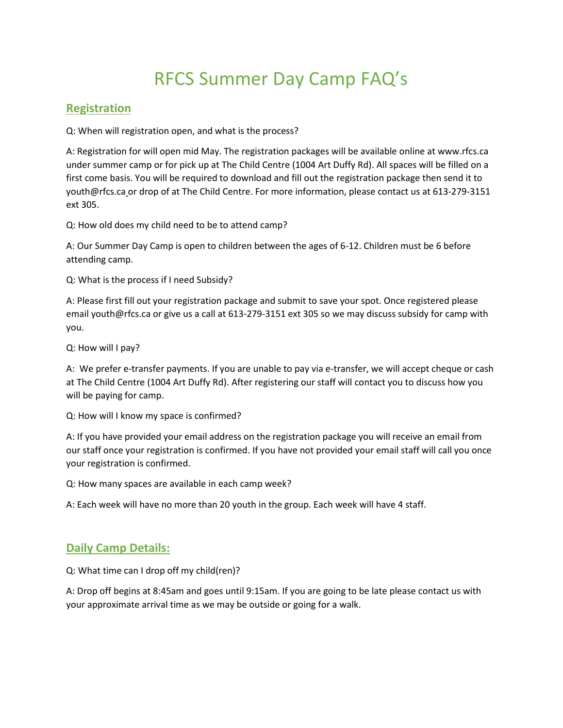## RFCS Summer Day Camp FAQ's

## **Registration**

Q: When will registration open, and what is the process?

A: Registration for will open mid May. The registration packages will be available online at www.rfcs.ca under summer camp or for pick up at The Child Centre (1004 Art Duffy Rd). All spaces will be filled on a first come basis. You will be required to download and fill out the registration package then send it to youth@rfcs.ca or drop of at The Child Centre. For more information, please contact us at 613-279-3151 ext 305.

Q: How old does my child need to be to attend camp?

A: Our Summer Day Camp is open to children between the ages of 6-12. Children must be 6 before attending camp.

Q: What is the process if I need Subsidy?

A: Please first fill out your registration package and submit to save your spot. Once registered please email youth@rfcs.ca or give us a call at 613-279-3151 ext 305 so we may discuss subsidy for camp with you.

Q: How will I pay?

A: We prefer e-transfer payments. If you are unable to pay via e-transfer, we will accept cheque or cash at The Child Centre (1004 Art Duffy Rd). After registering our staff will contact you to discuss how you will be paying for camp.

Q: How will I know my space is confirmed?

A: If you have provided your email address on the registration package you will receive an email from our staff once your registration is confirmed. If you have not provided your email staff will call you once your registration is confirmed.

Q: How many spaces are available in each camp week?

A: Each week will have no more than 20 youth in the group. Each week will have 4 staff.

## **Daily Camp Details:**

Q: What time can I drop off my child(ren)?

A: Drop off begins at 8:45am and goes until 9:15am. If you are going to be late please contact us with your approximate arrival time as we may be outside or going for a walk.